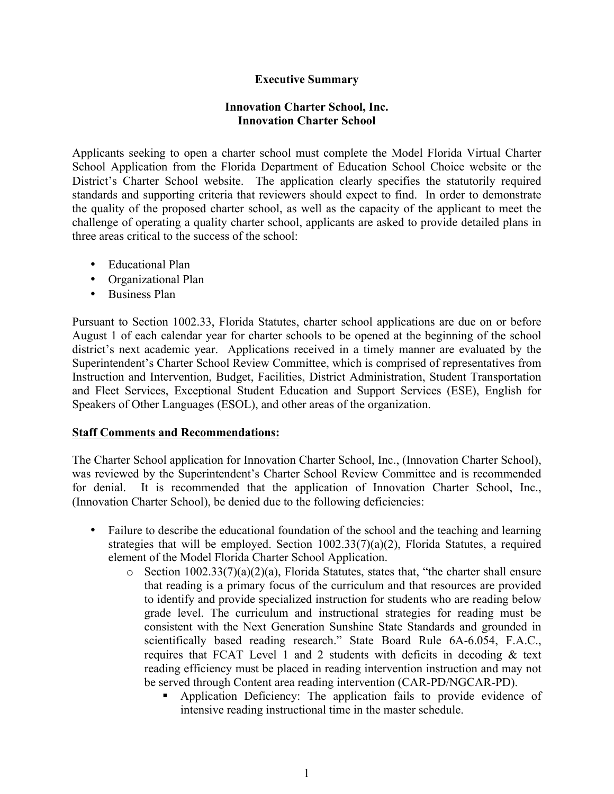## **Executive Summary**

## **Innovation Charter School, Inc. Innovation Charter School**

Applicants seeking to open a charter school must complete the Model Florida Virtual Charter School Application from the Florida Department of Education School Choice website or the District's Charter School website. The application clearly specifies the statutorily required standards and supporting criteria that reviewers should expect to find. In order to demonstrate the quality of the proposed charter school, as well as the capacity of the applicant to meet the challenge of operating a quality charter school, applicants are asked to provide detailed plans in three areas critical to the success of the school:

- Educational Plan
- Organizational Plan
- Business Plan

Pursuant to Section 1002.33, Florida Statutes, charter school applications are due on or before August 1 of each calendar year for charter schools to be opened at the beginning of the school district's next academic year. Applications received in a timely manner are evaluated by the Superintendent's Charter School Review Committee, which is comprised of representatives from Instruction and Intervention, Budget, Facilities, District Administration, Student Transportation and Fleet Services, Exceptional Student Education and Support Services (ESE), English for Speakers of Other Languages (ESOL), and other areas of the organization.

## **Staff Comments and Recommendations:**

The Charter School application for Innovation Charter School, Inc., (Innovation Charter School), was reviewed by the Superintendent's Charter School Review Committee and is recommended for denial. It is recommended that the application of Innovation Charter School, Inc., (Innovation Charter School), be denied due to the following deficiencies:

- Failure to describe the educational foundation of the school and the teaching and learning strategies that will be employed. Section 1002.33(7)(a)(2), Florida Statutes, a required element of the Model Florida Charter School Application.
	- $\circ$  Section 1002.33(7)(a)(2)(a), Florida Statutes, states that, "the charter shall ensure that reading is a primary focus of the curriculum and that resources are provided to identify and provide specialized instruction for students who are reading below grade level. The curriculum and instructional strategies for reading must be consistent with the Next Generation Sunshine State Standards and grounded in scientifically based reading research." State Board Rule 6A-6.054, F.A.C., requires that FCAT Level 1 and 2 students with deficits in decoding & text reading efficiency must be placed in reading intervention instruction and may not be served through Content area reading intervention (CAR-PD/NGCAR-PD).
		- § Application Deficiency: The application fails to provide evidence of intensive reading instructional time in the master schedule.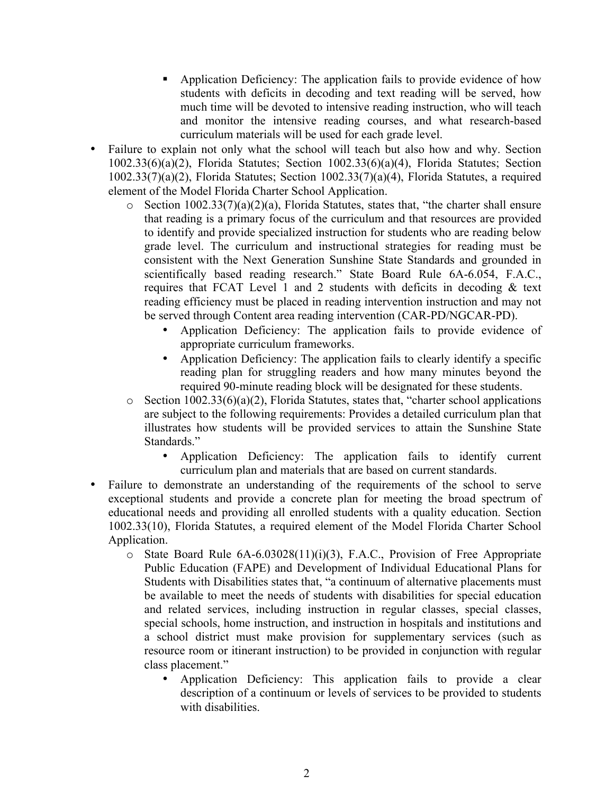- Application Deficiency: The application fails to provide evidence of how students with deficits in decoding and text reading will be served, how much time will be devoted to intensive reading instruction, who will teach and monitor the intensive reading courses, and what research-based curriculum materials will be used for each grade level.
- Failure to explain not only what the school will teach but also how and why. Section 1002.33(6)(a)(2), Florida Statutes; Section 1002.33(6)(a)(4), Florida Statutes; Section 1002.33(7)(a)(2), Florida Statutes; Section 1002.33(7)(a)(4), Florida Statutes, a required element of the Model Florida Charter School Application.
	- $\circ$  Section 1002.33(7)(a)(2)(a), Florida Statutes, states that, "the charter shall ensure that reading is a primary focus of the curriculum and that resources are provided to identify and provide specialized instruction for students who are reading below grade level. The curriculum and instructional strategies for reading must be consistent with the Next Generation Sunshine State Standards and grounded in scientifically based reading research." State Board Rule 6A-6.054, F.A.C., requires that FCAT Level 1 and 2 students with deficits in decoding  $\&$  text reading efficiency must be placed in reading intervention instruction and may not be served through Content area reading intervention (CAR-PD/NGCAR-PD).
		- Application Deficiency: The application fails to provide evidence of appropriate curriculum frameworks.
		- Application Deficiency: The application fails to clearly identify a specific reading plan for struggling readers and how many minutes beyond the required 90-minute reading block will be designated for these students.
	- $\circ$  Section 1002.33(6)(a)(2), Florida Statutes, states that, "charter school applications are subject to the following requirements: Provides a detailed curriculum plan that illustrates how students will be provided services to attain the Sunshine State Standards."
		- Application Deficiency: The application fails to identify current curriculum plan and materials that are based on current standards.
- Failure to demonstrate an understanding of the requirements of the school to serve exceptional students and provide a concrete plan for meeting the broad spectrum of educational needs and providing all enrolled students with a quality education. Section 1002.33(10), Florida Statutes, a required element of the Model Florida Charter School Application.
	- o State Board Rule 6A-6.03028(11)(i)(3), F.A.C., Provision of Free Appropriate Public Education (FAPE) and Development of Individual Educational Plans for Students with Disabilities states that, "a continuum of alternative placements must be available to meet the needs of students with disabilities for special education and related services, including instruction in regular classes, special classes, special schools, home instruction, and instruction in hospitals and institutions and a school district must make provision for supplementary services (such as resource room or itinerant instruction) to be provided in conjunction with regular class placement."
		- Application Deficiency: This application fails to provide a clear description of a continuum or levels of services to be provided to students with disabilities.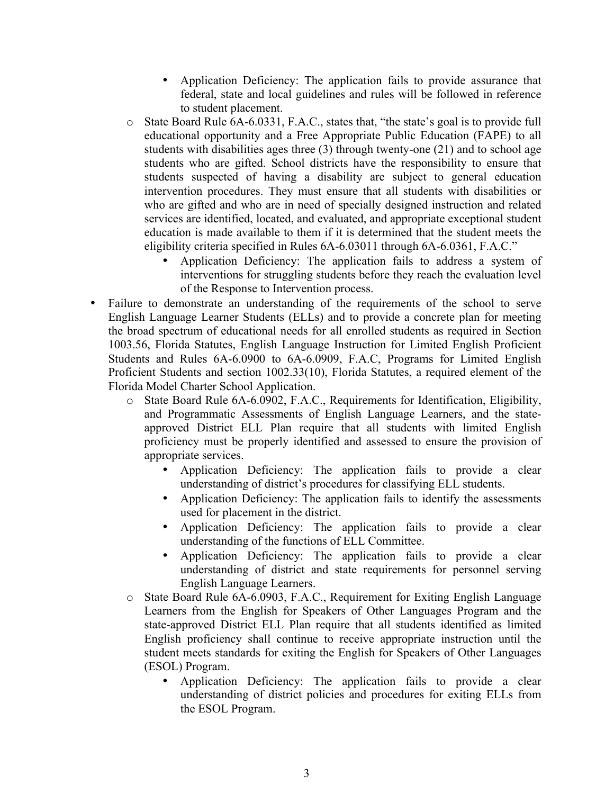- Application Deficiency: The application fails to provide assurance that federal, state and local guidelines and rules will be followed in reference to student placement.
- o State Board Rule 6A-6.0331, F.A.C., states that, "the state's goal is to provide full educational opportunity and a Free Appropriate Public Education (FAPE) to all students with disabilities ages three (3) through twenty-one (21) and to school age students who are gifted. School districts have the responsibility to ensure that students suspected of having a disability are subject to general education intervention procedures. They must ensure that all students with disabilities or who are gifted and who are in need of specially designed instruction and related services are identified, located, and evaluated, and appropriate exceptional student education is made available to them if it is determined that the student meets the eligibility criteria specified in Rules 6A-6.03011 through 6A-6.0361, F.A.C."
	- Application Deficiency: The application fails to address a system of interventions for struggling students before they reach the evaluation level of the Response to Intervention process.
- Failure to demonstrate an understanding of the requirements of the school to serve English Language Learner Students (ELLs) and to provide a concrete plan for meeting the broad spectrum of educational needs for all enrolled students as required in Section 1003.56, Florida Statutes, English Language Instruction for Limited English Proficient Students and Rules 6A-6.0900 to 6A-6.0909, F.A.C, Programs for Limited English Proficient Students and section 1002.33(10), Florida Statutes, a required element of the Florida Model Charter School Application.
	- o State Board Rule 6A-6.0902, F.A.C., Requirements for Identification, Eligibility, and Programmatic Assessments of English Language Learners, and the stateapproved District ELL Plan require that all students with limited English proficiency must be properly identified and assessed to ensure the provision of appropriate services.
		- Application Deficiency: The application fails to provide a clear understanding of district's procedures for classifying ELL students.
		- Application Deficiency: The application fails to identify the assessments used for placement in the district.
		- Application Deficiency: The application fails to provide a clear understanding of the functions of ELL Committee.
		- Application Deficiency: The application fails to provide a clear understanding of district and state requirements for personnel serving English Language Learners.
	- o State Board Rule 6A-6.0903, F.A.C., Requirement for Exiting English Language Learners from the English for Speakers of Other Languages Program and the state-approved District ELL Plan require that all students identified as limited English proficiency shall continue to receive appropriate instruction until the student meets standards for exiting the English for Speakers of Other Languages (ESOL) Program.
		- Application Deficiency: The application fails to provide a clear understanding of district policies and procedures for exiting ELLs from the ESOL Program.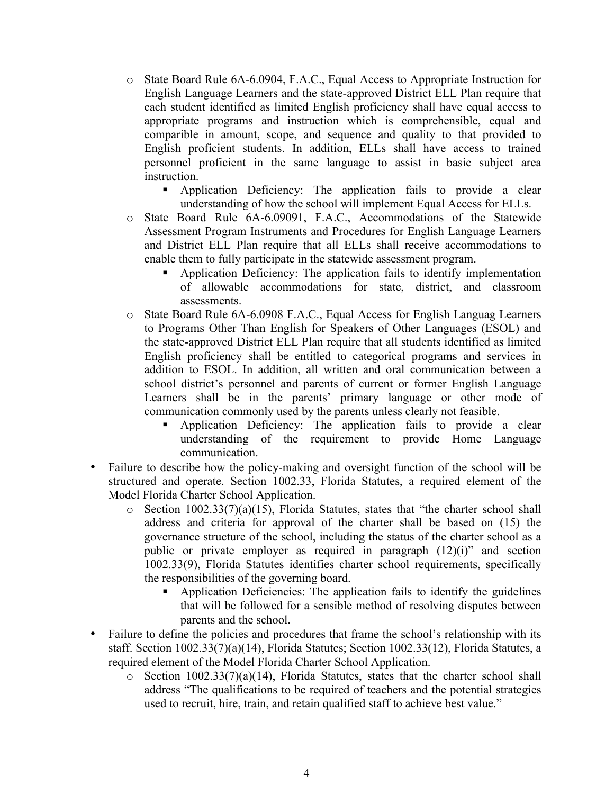- o State Board Rule 6A-6.0904, F.A.C., Equal Access to Appropriate Instruction for English Language Learners and the state-approved District ELL Plan require that each student identified as limited English proficiency shall have equal access to appropriate programs and instruction which is comprehensible, equal and comparible in amount, scope, and sequence and quality to that provided to English proficient students. In addition, ELLs shall have access to trained personnel proficient in the same language to assist in basic subject area instruction.
	- § Application Deficiency: The application fails to provide a clear understanding of how the school will implement Equal Access for ELLs.
- o State Board Rule 6A-6.09091, F.A.C., Accommodations of the Statewide Assessment Program Instruments and Procedures for English Language Learners and District ELL Plan require that all ELLs shall receive accommodations to enable them to fully participate in the statewide assessment program.
	- § Application Deficiency: The application fails to identify implementation of allowable accommodations for state, district, and classroom assessments.
- o State Board Rule 6A-6.0908 F.A.C., Equal Access for English Languag Learners to Programs Other Than English for Speakers of Other Languages (ESOL) and the state-approved District ELL Plan require that all students identified as limited English proficiency shall be entitled to categorical programs and services in addition to ESOL. In addition, all written and oral communication between a school district's personnel and parents of current or former English Language Learners shall be in the parents' primary language or other mode of communication commonly used by the parents unless clearly not feasible.
	- § Application Deficiency: The application fails to provide a clear understanding of the requirement to provide Home Language communication.
- Failure to describe how the policy-making and oversight function of the school will be structured and operate. Section 1002.33, Florida Statutes, a required element of the Model Florida Charter School Application.
	- $\circ$  Section 1002.33(7)(a)(15), Florida Statutes, states that "the charter school shall address and criteria for approval of the charter shall be based on (15) the governance structure of the school, including the status of the charter school as a public or private employer as required in paragraph (12)(i)" and section 1002.33(9), Florida Statutes identifies charter school requirements, specifically the responsibilities of the governing board.
		- § Application Deficiencies: The application fails to identify the guidelines that will be followed for a sensible method of resolving disputes between parents and the school.
- Failure to define the policies and procedures that frame the school's relationship with its staff. Section 1002.33(7)(a)(14), Florida Statutes; Section 1002.33(12), Florida Statutes, a required element of the Model Florida Charter School Application.
	- $\circ$  Section 1002.33(7)(a)(14), Florida Statutes, states that the charter school shall address "The qualifications to be required of teachers and the potential strategies used to recruit, hire, train, and retain qualified staff to achieve best value."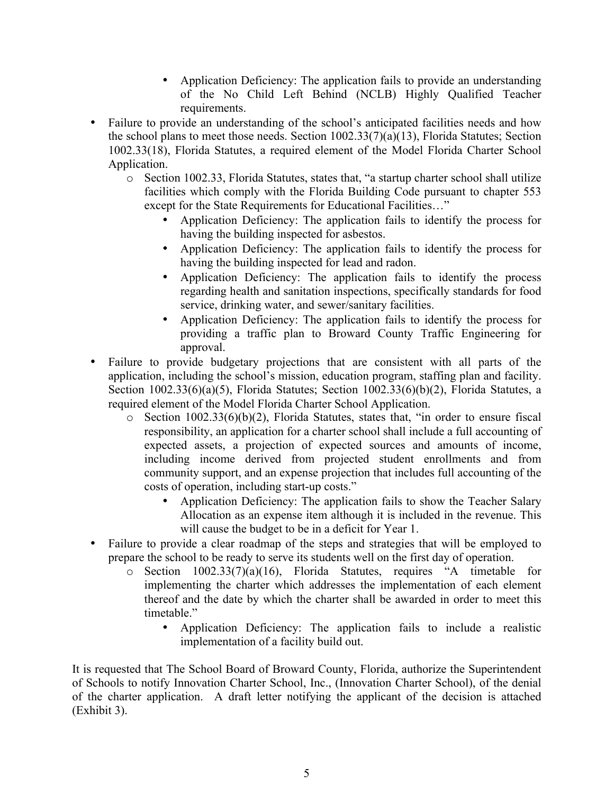- Application Deficiency: The application fails to provide an understanding of the No Child Left Behind (NCLB) Highly Qualified Teacher requirements.
- Failure to provide an understanding of the school's anticipated facilities needs and how the school plans to meet those needs. Section 1002.33(7)(a)(13), Florida Statutes; Section 1002.33(18), Florida Statutes, a required element of the Model Florida Charter School Application.
	- o Section 1002.33, Florida Statutes, states that, "a startup charter school shall utilize facilities which comply with the Florida Building Code pursuant to chapter 553 except for the State Requirements for Educational Facilities…"
		- Application Deficiency: The application fails to identify the process for having the building inspected for asbestos.
		- Application Deficiency: The application fails to identify the process for having the building inspected for lead and radon.
		- Application Deficiency: The application fails to identify the process regarding health and sanitation inspections, specifically standards for food service, drinking water, and sewer/sanitary facilities.
		- Application Deficiency: The application fails to identify the process for providing a traffic plan to Broward County Traffic Engineering for approval.
- Failure to provide budgetary projections that are consistent with all parts of the application, including the school's mission, education program, staffing plan and facility. Section 1002.33(6)(a)(5), Florida Statutes; Section 1002.33(6)(b)(2), Florida Statutes, a required element of the Model Florida Charter School Application.
	- o Section 1002.33(6)(b)(2), Florida Statutes, states that, "in order to ensure fiscal responsibility, an application for a charter school shall include a full accounting of expected assets, a projection of expected sources and amounts of income, including income derived from projected student enrollments and from community support, and an expense projection that includes full accounting of the costs of operation, including start-up costs."
		- Application Deficiency: The application fails to show the Teacher Salary Allocation as an expense item although it is included in the revenue. This will cause the budget to be in a deficit for Year 1.
- Failure to provide a clear roadmap of the steps and strategies that will be employed to prepare the school to be ready to serve its students well on the first day of operation.
	- o Section 1002.33(7)(a)(16), Florida Statutes, requires "A timetable for implementing the charter which addresses the implementation of each element thereof and the date by which the charter shall be awarded in order to meet this timetable."
		- Application Deficiency: The application fails to include a realistic implementation of a facility build out.

It is requested that The School Board of Broward County, Florida, authorize the Superintendent of Schools to notify Innovation Charter School, Inc., (Innovation Charter School), of the denial of the charter application. A draft letter notifying the applicant of the decision is attached (Exhibit 3).